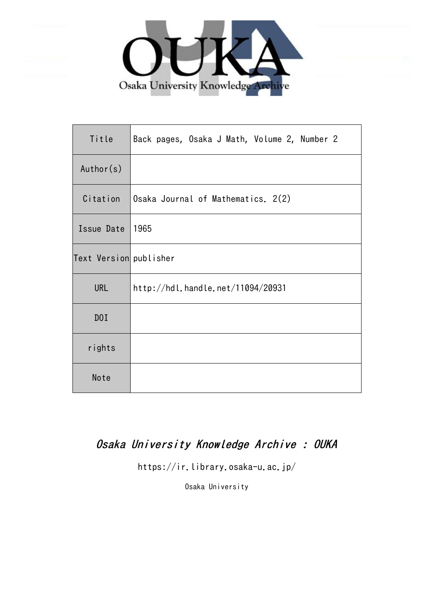

| Title                  | Back pages, Osaka J Math, Volume 2, Number 2 |
|------------------------|----------------------------------------------|
| Author(s)              |                                              |
| Citation               | Osaka Journal of Mathematics. 2(2)           |
| Issue Date             | 1965                                         |
| Text Version publisher |                                              |
| <b>URL</b>             | http://hdl.handle.net/11094/20931            |
| DOI                    |                                              |
| rights                 |                                              |
| Note                   |                                              |

## Osaka University Knowledge Archive : OUKA

https://ir.library.osaka-u.ac.jp/

Osaka University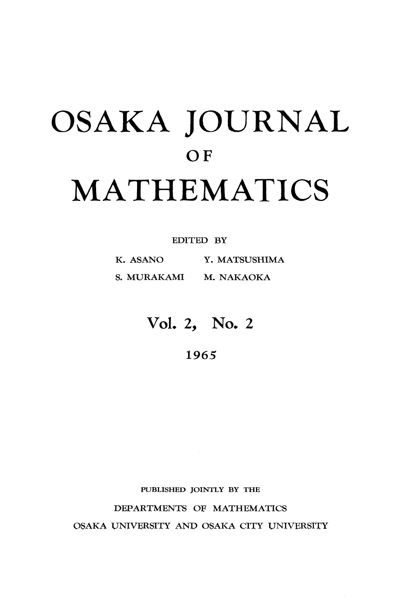# OSAKA JOURNAL **OF** MATHEMATICS

#### EDITED BY

K. ASANO Y. MATSUSHIMA S. MURAKAMI M. NAKAOKA

## VoL 2, No. 2

1965

**PUBLISHED JOINTLY BY THE**

DEPARTMENTS OF MATHEMATICS

OSAKA UNIVERSITY AND OSAKA CITY UNIVERSITY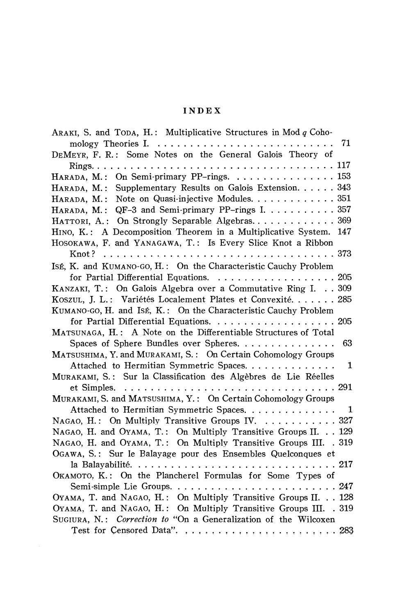#### **INDEX**

| ARAKI, S. and TODA, H.: Multiplicative Structures in Mod $q$ Coho-                    |
|---------------------------------------------------------------------------------------|
| 71                                                                                    |
| DEMEYR, F. R.: Some Notes on the General Galois Theory of                             |
|                                                                                       |
| HARADA, M.: On Semi-primary PP-rings. 153                                             |
| HARADA, M.: Supplementary Results on Galois Extension. 343                            |
| Note on Quasi-injective Modules. 351<br>HARADA, M.:                                   |
| HARADA, M.: QF-3 and Semi-primary PP-rings I. 357                                     |
| HATTORI, A.: On Strongly Separable Algebras 369                                       |
| HINO, K.: A Decomposition Theorem in a Multiplicative System.<br>147                  |
| HOSOKAWA, F. and YANAGAWA, T.: Is Every Slice Knot a Ribbon                           |
|                                                                                       |
| ISÉ, K. and KUMANO-GO, H.: On the Characteristic Cauchy Problem                       |
| for Partial Differential Equations. 205                                               |
| KANZAKI, T.: On Galois Algebra over a Commutative Ring I. 309                         |
| KOSZUL, J. L.: Variétés Localement Plates et Convexité 285                            |
| KUMANO-GO, H. and ISÉ, K.: On the Characteristic Cauchy Problem                       |
| for Partial Differential Equations. $\ldots \ldots \ldots \ldots \ldots \ldots$ . 205 |
| MATSUNAGA, H.: A Note on the Differentiable Structures of Total                       |
| Spaces of Sphere Bundles over Spheres.<br>63                                          |
| MATSUSHIMA, Y. and MURAKAMI, S.: On Certain Cohomology Groups                         |
| Attached to Hermitian Symmetric Spaces.<br>1                                          |
| MURAKAMI, S.: Sur la Classification des Algèbres de Lie Réelles                       |
|                                                                                       |
| MURAKAMI, S. and MATSUSHIMA, Y.: On Certain Cohomology Groups                         |
| Attached to Hermitian Symmetric Spaces.<br>1                                          |
| NAGAO, H.: On Multiply Transitive Groups IV.  327                                     |
| NAGAO, H. and OYAMA, T.: On Multiply Transitive Groups II. 129                        |
| NAGAO, H. and OYAMA, T.: On Multiply Transitive Groups III. . 319                     |
| OGAWA, S.: Sur le Balayage pour des Ensembles Quelconques et                          |
| 217                                                                                   |
| OKAMOTO, K.: On the Plancherel Formulas for Some Types of                             |
| 247                                                                                   |
| OYAMA, T. and NAGAO, H.: On Multiply Transitive Groups II. 128                        |
| OYAMA, T. and NAGAO, H.: On Multiply Transitive Groups III. . 319                     |
| SUGIURA, N.: Correction to "On a Generalization of the Wilcoxen                       |
|                                                                                       |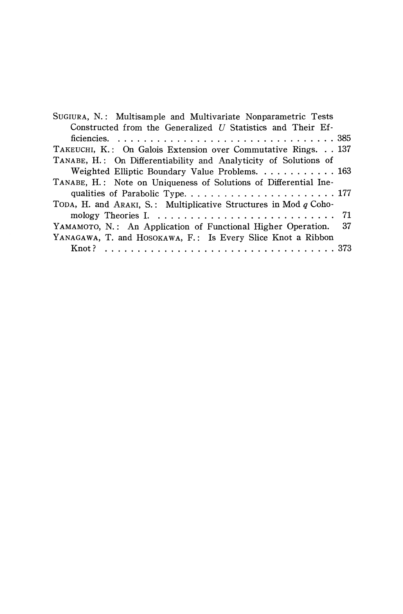| SUGIURA, N.: Multisample and Multivariate Nonparametric Tests      |
|--------------------------------------------------------------------|
| Constructed from the Generalized U Statistics and Their Ef-        |
|                                                                    |
| TAKEUCHI, K.: On Galois Extension over Commutative Rings. 137      |
| TANABE, H.: On Differentiability and Analyticity of Solutions of   |
| Weighted Elliptic Boundary Value Problems. 163                     |
| TANABE, H.: Note on Uniqueness of Solutions of Differential Ine-   |
|                                                                    |
| TODA, H. and ARAKI, S.: Multiplicative Structures in Mod $q$ Coho- |
|                                                                    |
| YAMAMOTO, N.: An Application of Functional Higher Operation. 37    |
| YANAGAWA, T. and HOSOKAWA, F.: Is Every Slice Knot a Ribbon        |
|                                                                    |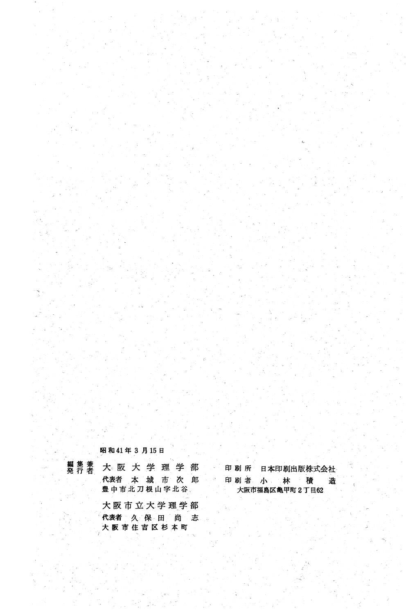昭和41年3月15日

大阪市住吉区杉本町

編集兼

大阪大学理学部 代表者 本 城 市 次 郎 豊中市北刀根山字北谷、 大阪市立大学理学部 代表者 久 保 田 尚 志

印 刷 所 日本印刷出版株式会社 印刷者小 林 積 造 大阪市福島区亀甲町2丁目62